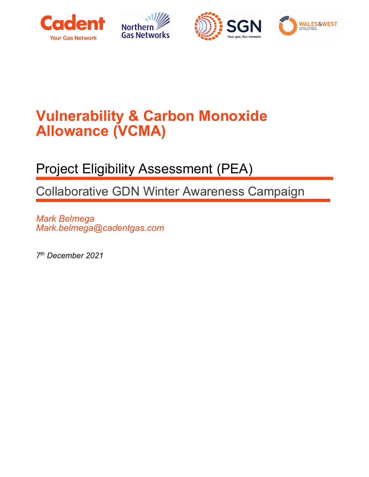





## Vulnerability & Carbon Monoxide Allowance (VCMA)

## Project Eligibility Assessment (PEA)

Collaborative GDN Winter Awareness Campaign

Mark Belmega Mark.belmega@cadentgas.com

7 th December 2021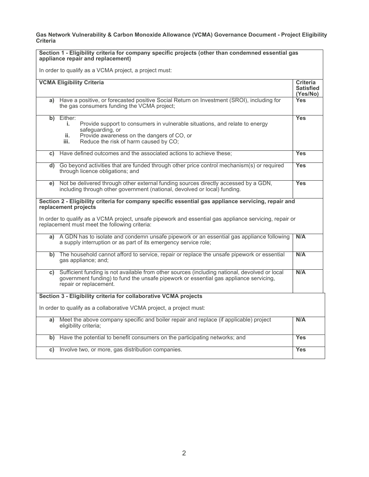Gas Network Vulnerability & Carbon Monoxide Allowance (VCMA) Governance Document - Project Eligibility Criteria

| Section 1 - Eligibility criteria for company specific projects (other than condemned essential gas<br>appliance repair and replacement) |                                                                                                                                                                                                                                                                                         |                                                 |  |  |  |
|-----------------------------------------------------------------------------------------------------------------------------------------|-----------------------------------------------------------------------------------------------------------------------------------------------------------------------------------------------------------------------------------------------------------------------------------------|-------------------------------------------------|--|--|--|
|                                                                                                                                         | In order to qualify as a VCMA project, a project must:                                                                                                                                                                                                                                  |                                                 |  |  |  |
|                                                                                                                                         | <b>VCMA Eligibility Criteria</b>                                                                                                                                                                                                                                                        | <b>Criteria</b><br><b>Satisfied</b><br>(Yes/No) |  |  |  |
| a)                                                                                                                                      | Have a positive, or forecasted positive Social Return on Investment (SROI), including for<br>the gas consumers funding the VCMA project;                                                                                                                                                | Yes                                             |  |  |  |
|                                                                                                                                         | b) Either:<br>Provide support to consumers in vulnerable situations, and relate to energy<br>j.<br>safeguarding, or<br>Provide awareness on the dangers of CO, or<br>ii.<br>Reduce the risk of harm caused by CO;<br>iii.                                                               | <b>Yes</b>                                      |  |  |  |
| C)                                                                                                                                      | Have defined outcomes and the associated actions to achieve these;                                                                                                                                                                                                                      | <b>Yes</b>                                      |  |  |  |
|                                                                                                                                         | d) Go beyond activities that are funded through other price control mechanism(s) or required<br>through licence obligations; and                                                                                                                                                        | <b>Yes</b>                                      |  |  |  |
| e)                                                                                                                                      | Not be delivered through other external funding sources directly accessed by a GDN,<br>including through other government (national, devolved or local) funding.                                                                                                                        | <b>Yes</b>                                      |  |  |  |
|                                                                                                                                         | Section 2 - Eligibility criteria for company specific essential gas appliance servicing, repair and<br>replacement projects<br>In order to qualify as a VCMA project, unsafe pipework and essential gas appliance servicing, repair or<br>replacement must meet the following criteria: |                                                 |  |  |  |
| a)                                                                                                                                      | A GDN has to isolate and condemn unsafe pipework or an essential gas appliance following<br>a supply interruption or as part of its emergency service role;                                                                                                                             | N/A                                             |  |  |  |
|                                                                                                                                         | b) The household cannot afford to service, repair or replace the unsafe pipework or essential<br>gas appliance; and;                                                                                                                                                                    | N/A                                             |  |  |  |
| C)                                                                                                                                      | Sufficient funding is not available from other sources (including national, devolved or local<br>government funding) to fund the unsafe pipework or essential gas appliance servicing,<br>repair or replacement.                                                                        | N/A                                             |  |  |  |
| Section 3 - Eligibility criteria for collaborative VCMA projects                                                                        |                                                                                                                                                                                                                                                                                         |                                                 |  |  |  |
|                                                                                                                                         | In order to qualify as a collaborative VCMA project, a project must:                                                                                                                                                                                                                    |                                                 |  |  |  |
|                                                                                                                                         | a) Meet the above company specific and boiler repair and replace (if applicable) project<br>eligibility criteria;                                                                                                                                                                       | N/A                                             |  |  |  |
|                                                                                                                                         | b) Have the potential to benefit consumers on the participating networks; and                                                                                                                                                                                                           | <b>Yes</b>                                      |  |  |  |
| C)                                                                                                                                      | Involve two, or more, gas distribution companies.                                                                                                                                                                                                                                       | <b>Yes</b>                                      |  |  |  |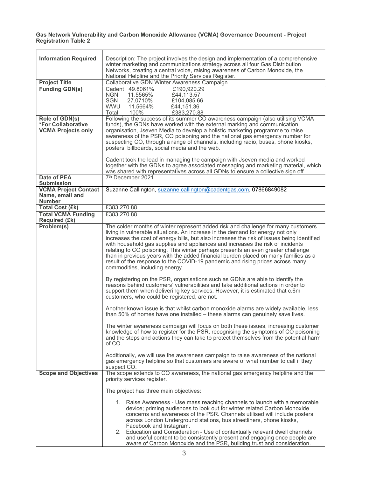## Gas Network Vulnerability and Carbon Monoxide Allowance (VCMA) Governance Document - Project Registration Table 2

| <b>Information Required</b>                         | Description: The project involves the design and implementation of a comprehensive                                                                                           |  |  |  |
|-----------------------------------------------------|------------------------------------------------------------------------------------------------------------------------------------------------------------------------------|--|--|--|
|                                                     | winter marketing and communications strategy across all four Gas Distribution<br>Networks, creating a central voice, raising awareness of Carbon Monoxide, the               |  |  |  |
|                                                     | National Helpline and the Priority Services Register.                                                                                                                        |  |  |  |
| <b>Project Title</b>                                | Collaborative GDN Winter Awareness Campaign                                                                                                                                  |  |  |  |
| <b>Funding GDN(s)</b>                               | Cadent 49.8061%<br>£190,920.29<br><b>NGN</b><br>11.5565%<br>£44,113.57                                                                                                       |  |  |  |
|                                                     | 27.0710%<br>SGN<br>£104,085.66                                                                                                                                               |  |  |  |
|                                                     | <b>WWU</b><br>11.5664%<br>£44,151.36                                                                                                                                         |  |  |  |
|                                                     | Total<br>100%<br>£383,270.88                                                                                                                                                 |  |  |  |
| Role of GDN(s)                                      | Following the success of its summer CO awareness campaign (also utilising VCMA                                                                                               |  |  |  |
| *For Collaborative<br><b>VCMA Projects only</b>     | funds), the GDNs have worked with the external marking and communication<br>organisation, Jseven Media to develop a holistic marketing programme to raise                    |  |  |  |
|                                                     | awareness of the PSR, CO poisoning and the national gas emergency number for                                                                                                 |  |  |  |
|                                                     | suspecting CO, through a range of channels, including radio, buses, phone kiosks,                                                                                            |  |  |  |
|                                                     | posters, billboards, social media and the web.                                                                                                                               |  |  |  |
|                                                     | Cadent took the lead in managing the campaign with Jseven media and worked                                                                                                   |  |  |  |
|                                                     | together with the GDNs to agree associated messaging and marketing material, which                                                                                           |  |  |  |
|                                                     | was shared with representatives across all GDNs to ensure a collective sign off.                                                                                             |  |  |  |
| <b>Date of PEA</b><br><b>Submission</b>             | 7 <sup>th</sup> December 2021                                                                                                                                                |  |  |  |
| <b>VCMA Project Contact</b>                         | Suzanne Callington, suzanne.callington@cadentgas.com, 07866849082                                                                                                            |  |  |  |
| Name, email and                                     |                                                                                                                                                                              |  |  |  |
| <b>Number</b>                                       |                                                                                                                                                                              |  |  |  |
| <b>Total Cost (£k)</b><br><b>Total VCMA Funding</b> | £383,270.88<br>£383,270.88                                                                                                                                                   |  |  |  |
| <b>Required (£k)</b>                                |                                                                                                                                                                              |  |  |  |
| Problem(s)                                          | The colder months of winter represent added risk and challenge for many customers                                                                                            |  |  |  |
|                                                     | living in vulnerable situations. An increase in the demand for energy not only                                                                                               |  |  |  |
|                                                     | increases the cost of energy bills, but also increases the risk of issues being identified<br>with household gas supplies and appliances and increases the risk of incidents |  |  |  |
|                                                     | relating to CO poisoning. This winter perhaps presents an even greater challenge                                                                                             |  |  |  |
|                                                     | than in previous years with the added financial burden placed on many families as a                                                                                          |  |  |  |
|                                                     | result of the response to the COVID-19 pandemic and rising prices across many                                                                                                |  |  |  |
|                                                     | commodities, including energy.                                                                                                                                               |  |  |  |
|                                                     | By registering on the PSR, organisations such as GDNs are able to identify the                                                                                               |  |  |  |
|                                                     | reasons behind customers' vulnerabilities and take additional actions in order to                                                                                            |  |  |  |
|                                                     | support them when delivering key services. However, it is estimated that c.6m<br>customers, who could be registered, are not.                                                |  |  |  |
|                                                     |                                                                                                                                                                              |  |  |  |
|                                                     | Another known issue is that whilst carbon monoxide alarms are widely available, less                                                                                         |  |  |  |
|                                                     | than 50% of homes have one installed – these alarms can genuinely save lives.                                                                                                |  |  |  |
|                                                     | The winter awareness campaign will focus on both these issues, increasing customer                                                                                           |  |  |  |
|                                                     | knowledge of how to register for the PSR, recognising the symptoms of CO poisoning                                                                                           |  |  |  |
|                                                     | and the steps and actions they can take to protect themselves from the potential harm                                                                                        |  |  |  |
|                                                     | of CO.                                                                                                                                                                       |  |  |  |
|                                                     | Additionally, we will use the awareness campaign to raise awareness of the national                                                                                          |  |  |  |
|                                                     | gas emergency helpline so that customers are aware of what number to call if they                                                                                            |  |  |  |
|                                                     | suspect CO.                                                                                                                                                                  |  |  |  |
| <b>Scope and Objectives</b>                         | The scope extends to CO awareness, the national gas emergency helpline and the<br>priority services register.                                                                |  |  |  |
|                                                     |                                                                                                                                                                              |  |  |  |
|                                                     | The project has three main objectives:                                                                                                                                       |  |  |  |
|                                                     | 1. Raise Awareness - Use mass reaching channels to launch with a memorable                                                                                                   |  |  |  |
|                                                     | device; priming audiences to look out for winter related Carbon Monoxide                                                                                                     |  |  |  |
|                                                     | concerns and awareness of the PSR. Channels utilised will include posters                                                                                                    |  |  |  |
|                                                     | across London Underground stations, bus streetliners, phone kiosks,                                                                                                          |  |  |  |
|                                                     | Facebook and Instagram.<br>2. Education and Consideration - Use of contextually relevant dwell channels                                                                      |  |  |  |
|                                                     | and useful content to be consistently present and engaging once people are                                                                                                   |  |  |  |
|                                                     | aware of Carbon Monoxide and the PSR, building trust and consideration.                                                                                                      |  |  |  |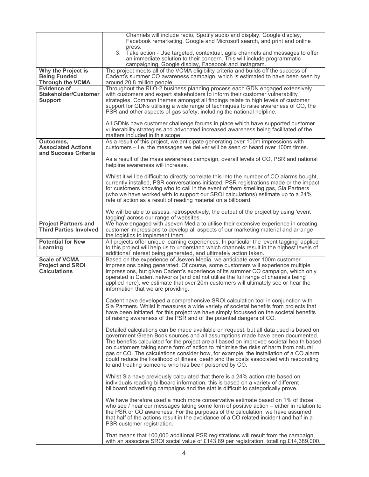|                                                                        | Channels will include radio, Spotify audio and display, Google display,<br>Facebook remarketing, Google and Microsoft search, and print and online<br>press.                                                                                                                                                                                                                                                                                                                                                                                                                                      |
|------------------------------------------------------------------------|---------------------------------------------------------------------------------------------------------------------------------------------------------------------------------------------------------------------------------------------------------------------------------------------------------------------------------------------------------------------------------------------------------------------------------------------------------------------------------------------------------------------------------------------------------------------------------------------------|
|                                                                        | 3. Take action - Use targeted, contextual, agile channels and messages to offer<br>an immediate solution to their concern. This will include programmatic<br>campaigning, Google display, Facebook and Instagram.                                                                                                                                                                                                                                                                                                                                                                                 |
| Why the Project is<br><b>Being Funded</b><br><b>Through the VCMA</b>   | The project meets all of the VCMA eligibility criteria and builds off the success of<br>Cadent's summer CO awareness campaign, which is estimated to have been seen by<br>around 20.8 million people.                                                                                                                                                                                                                                                                                                                                                                                             |
| <b>Evidence of</b><br>Stakeholder/Customer<br><b>Support</b>           | Throughout the RIIO-2 business planning process each GDN engaged extensively<br>with customers and expert stakeholders to inform their customer vulnerability<br>strategies. Common themes amongst all findings relate to high levels of customer<br>support for GDNs utilising a wide range of techniques to raise awareness of CO, the<br>PSR and other aspects of gas safety, including the national helpline.                                                                                                                                                                                 |
|                                                                        | All GDNs have customer challenge forums in place which have supported customer<br>vulnerability strategies and advocated increased awareness being facilitated of the<br>matters included in this scope.                                                                                                                                                                                                                                                                                                                                                                                          |
| Outcomes,<br><b>Associated Actions</b><br>and Success Criteria         | As a result of this project, we anticipate generating over 100m impressions with<br>customers $-$ i.e. the messages we deliver will be seen or heard over 100m times.                                                                                                                                                                                                                                                                                                                                                                                                                             |
|                                                                        | As a result of the mass awareness campaign, overall levels of CO, PSR and national<br>helpline awareness will increase.                                                                                                                                                                                                                                                                                                                                                                                                                                                                           |
|                                                                        | Whilst it will be difficult to directly correlate this into the number of CO alarms bought,<br>currently installed, PSR conversations initiated, PSR registrations made or the impact<br>for customers knowing who to call in the event of them smelling gas, Sia Partners<br>(who we have worked with to support our SROI calculations) estimate up to a 24%<br>rate of action as a result of reading material on a billboard.                                                                                                                                                                   |
|                                                                        | We will be able to assess, retrospectively, the output of the project by using 'event<br>tagging' across our range of websites.                                                                                                                                                                                                                                                                                                                                                                                                                                                                   |
| <b>Project Partners and</b><br><b>Third Parties Involved</b>           | We have engaged with Jseven Media to utilise their extensive experience in creating<br>customer impressions to develop all aspects of our marketing material and arrange<br>the logistics to implement them.                                                                                                                                                                                                                                                                                                                                                                                      |
| <b>Potential for New</b><br>Learning                                   | All projects offer unique learning experiences. In particular the 'event tagging' applied<br>to this project will help us to understand which channels result in the highest levels of<br>additional interest being generated, and ultimately action taken.                                                                                                                                                                                                                                                                                                                                       |
| <b>Scale of VCMA</b><br><b>Project and SROI</b><br><b>Calculations</b> | Based on the experience of Jseven Media, we anticipate over 100m customer<br>impressions being generated. Of course, some customers will experience multiple<br>impressions, but given Cadent's experience of its summer CO campaign, which only<br>operated in Cadent networks (and did not utilise the full range of channels being<br>applied here), we estimate that over 20m customers will ultimately see or hear the<br>information that we are providing.                                                                                                                                 |
|                                                                        | Cadent have developed a comprehensive SROI calculation tool in conjunction with<br>Sia Partners. Whilst it measures a wide variety of societal benefits from projects that<br>have been initiated, for this project we have simply focussed on the societal benefits<br>of raising awareness of the PSR and of the potential dangers of CO.                                                                                                                                                                                                                                                       |
|                                                                        | Detailed calculations can be made available on request, but all data used is based on<br>government Green Book sources and all assumptions made have been documented.<br>The benefits calculated for the project are all based on improved societal health based<br>on customers taking some form of action to minimise the risks of harm from natural<br>gas or CO. The calculations consider how, for example, the installation of a CO alarm<br>could reduce the likelihood of illness, death and the costs associated with responding<br>to and treating someone who has been poisoned by CO. |
|                                                                        | Whilst Sia have previously calculated that there is a 24% action rate based on<br>individuals reading billboard information, this is based on a variety of different<br>billboard advertising campaigns and the stat is difficult to categorically prove.                                                                                                                                                                                                                                                                                                                                         |
|                                                                        | We have therefore used a much more conservative estimate based on 1% of those<br>who see / hear our messages taking some form of positive action – either in relation to<br>the PSR or CO awareness. For the purposes of the calculation, we have assumed<br>that half of the actions result in the avoidance of a CO related incident and half in a<br>PSR customer registration.                                                                                                                                                                                                                |
|                                                                        | That means that 100,000 additional PSR registrations will result from the campaign,<br>with an associate SROI social value of £143.89 per registration, totalling £14,389,000.                                                                                                                                                                                                                                                                                                                                                                                                                    |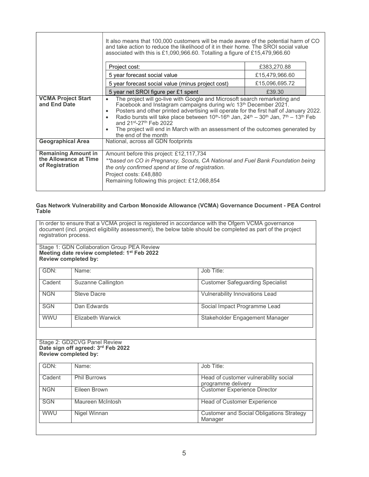| It also means that 100,000 customers will be made aware of the potential harm of CO<br>and take action to reduce the likelihood of it in their home. The SROI social value<br>associated with this is £1,090,966.60. Totalling a figure of £15,479,966.60 |                                                                                                                                                                                                                                                                                                                                                                                                                                                                                                                                                                           |                |  |
|-----------------------------------------------------------------------------------------------------------------------------------------------------------------------------------------------------------------------------------------------------------|---------------------------------------------------------------------------------------------------------------------------------------------------------------------------------------------------------------------------------------------------------------------------------------------------------------------------------------------------------------------------------------------------------------------------------------------------------------------------------------------------------------------------------------------------------------------------|----------------|--|
|                                                                                                                                                                                                                                                           | Project cost:                                                                                                                                                                                                                                                                                                                                                                                                                                                                                                                                                             | £383,270.88    |  |
|                                                                                                                                                                                                                                                           | 5 year forecast social value<br>£15,479,966.60                                                                                                                                                                                                                                                                                                                                                                                                                                                                                                                            |                |  |
|                                                                                                                                                                                                                                                           | 5 year forecast social value (minus project cost)                                                                                                                                                                                                                                                                                                                                                                                                                                                                                                                         | £15,096,695.72 |  |
|                                                                                                                                                                                                                                                           | 5 year net SROI figure per £1 spent                                                                                                                                                                                                                                                                                                                                                                                                                                                                                                                                       | £39.30         |  |
| <b>VCMA Project Start</b><br>and End Date                                                                                                                                                                                                                 | The project will go-live with Google and Microsoft search remarketing and<br>$\bullet$<br>Facebook and Instagram campaigns during w/c 13th December 2021.<br>Posters and other printed advertising will operate for the first half of January 2022.<br>$\bullet$<br>Radio bursts will take place between $10^{th}$ -16 <sup>th</sup> Jan, 24 <sup>th</sup> – 30 <sup>th</sup> Jan, 7 <sup>th</sup> – 13 <sup>th</sup> Feb<br>and 21st-27th Feb 2022<br>The project will end in March with an assessment of the outcomes generated by<br>$\bullet$<br>the end of the month |                |  |
| <b>Geographical Area</b>                                                                                                                                                                                                                                  | National, across all GDN footprints                                                                                                                                                                                                                                                                                                                                                                                                                                                                                                                                       |                |  |
| <b>Remaining Amount in</b><br>the Allowance at Time<br>of Registration                                                                                                                                                                                    | Amount before this project: £12,117,734<br>**based on CO in Pregnancy, Scouts, CA National and Fuel Bank Foundation being<br>the only confirmed spend at time of registration.<br>Project costs: £48,880<br>Remaining following this project: £12,068,854                                                                                                                                                                                                                                                                                                                 |                |  |

## Gas Network Vulnerability and Carbon Monoxide Allowance (VCMA) Governance Document - PEA Control Table

In order to ensure that a VCMA project is registered in accordance with the Ofgem VCMA governance document (incl. project eligibility assessment), the below table should be completed as part of the project registration process.

Stage 1: GDN Collaboration Group PEA Review Meeting date review completed: 1<sup>st</sup> Feb 2022 Review completed by:

| GDN:       | Name:              | Job Title:                              |
|------------|--------------------|-----------------------------------------|
| Cadent     | Suzanne Callington | <b>Customer Safeguarding Specialist</b> |
| <b>NGN</b> | <b>Steve Dacre</b> | Vulnerability Innovations Lead          |
| <b>SGN</b> | Dan Edwards        | Social Impact Programme Lead            |
| <b>WWU</b> | Elizabeth Warwick  | Stakeholder Engagement Manager          |

Stage 2: GD2CVG Panel Review Date sign off agreed: 3rd Feb 2022 Review completed by:

| GDN:       | Name:               | Job Title:                                                  |
|------------|---------------------|-------------------------------------------------------------|
| Cadent     | <b>Phil Burrows</b> | Head of customer vulnerability social<br>programme delivery |
| <b>NGN</b> | Eileen Brown        | <b>Customer Experience Director</b>                         |
| <b>SGN</b> | Maureen McIntosh    | <b>Head of Customer Experience</b>                          |
| <b>WWU</b> | Nigel Winnan        | <b>Customer and Social Obligations Strategy</b><br>Manager  |